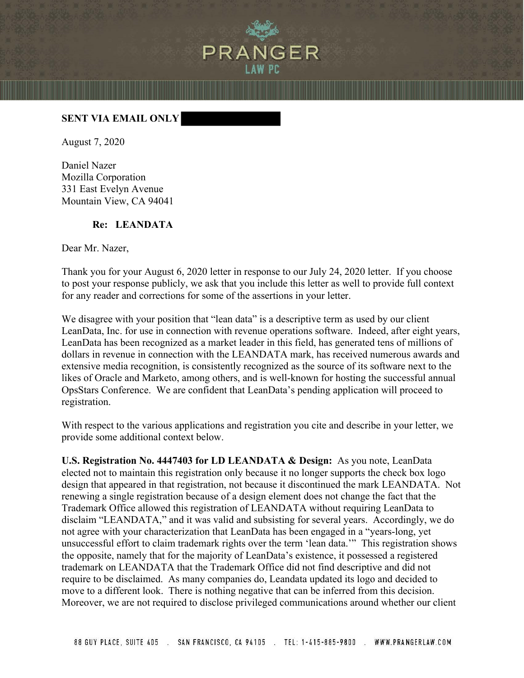

## **SENT VIA EMAIL ONLY**

August 7, 2020

Daniel Nazer Mozilla Corporation 331 East Evelyn Avenue Mountain View, CA 94041

## **Re: LEANDATA**

Dear Mr. Nazer,

Thank you for your August 6, 2020 letter in response to our July 24, 2020 letter. If you choose to post your response publicly, we ask that you include this letter as well to provide full context for any reader and corrections for some of the assertions in your letter.

We disagree with your position that "lean data" is a descriptive term as used by our client LeanData, Inc. for use in connection with revenue operations software. Indeed, after eight years, LeanData has been recognized as a market leader in this field, has generated tens of millions of dollars in revenue in connection with the LEANDATA mark, has received numerous awards and extensive media recognition, is consistently recognized as the source of its software next to the likes of Oracle and Marketo, among others, and is well-known for hosting the successful annual OpsStars Conference. We are confident that LeanData's pending application will proceed to registration.

With respect to the various applications and registration you cite and describe in your letter, we provide some additional context below.

**U.S. Registration No. 4447403 for LD LEANDATA & Design:** As you note, LeanData elected not to maintain this registration only because it no longer supports the check box logo design that appeared in that registration, not because it discontinued the mark LEANDATA. Not renewing a single registration because of a design element does not change the fact that the Trademark Office allowed this registration of LEANDATA without requiring LeanData to disclaim "LEANDATA," and it was valid and subsisting for several years. Accordingly, we do not agree with your characterization that LeanData has been engaged in a "years-long, yet unsuccessful effort to claim trademark rights over the term 'lean data.'" This registration shows the opposite, namely that for the majority of LeanData's existence, it possessed a registered trademark on LEANDATA that the Trademark Office did not find descriptive and did not require to be disclaimed. As many companies do, Leandata updated its logo and decided to move to a different look. There is nothing negative that can be inferred from this decision. Moreover, we are not required to disclose privileged communications around whether our client